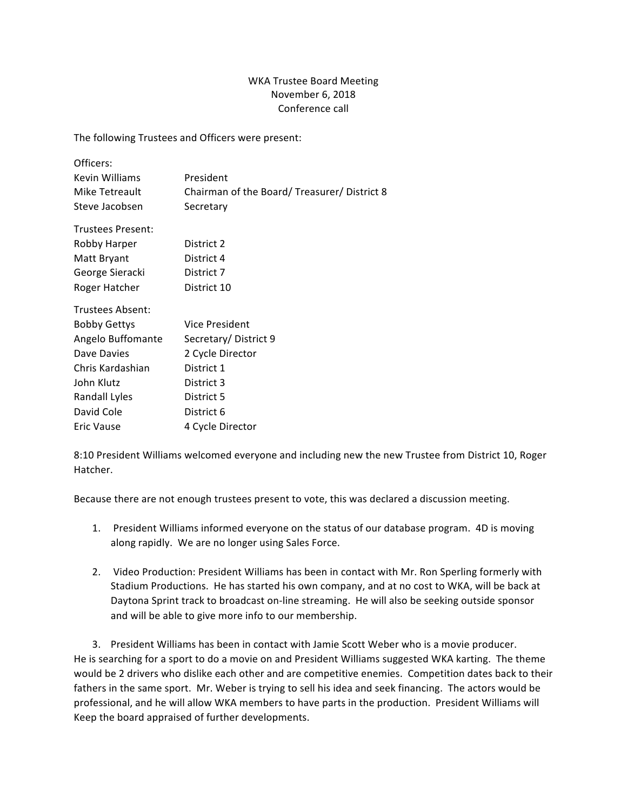## WKA Trustee Board Meeting November 6, 2018 Conference call

The following Trustees and Officers were present:

| Officers:           |                                            |
|---------------------|--------------------------------------------|
| Kevin Williams      | President                                  |
| Mike Tetreault      | Chairman of the Board/Treasurer/District 8 |
| Steve Jacobsen      | Secretary                                  |
| Trustees Present:   |                                            |
| Robby Harper        | District 2                                 |
| Matt Bryant         | District 4                                 |
| George Sieracki     | District 7                                 |
| Roger Hatcher       | District 10                                |
| Trustees Absent:    |                                            |
| <b>Bobby Gettys</b> | Vice President                             |
| Angelo Buffomante   | Secretary/District 9                       |
| Dave Davies         | 2 Cycle Director                           |
| Chris Kardashian    | District 1                                 |
| John Klutz          | District 3                                 |
| Randall Lyles       | District 5                                 |
| David Cole          | District 6                                 |
| Eric Vause          | 4 Cycle Director                           |

8:10 President Williams welcomed everyone and including new the new Trustee from District 10, Roger Hatcher.

Because there are not enough trustees present to vote, this was declared a discussion meeting.

- 1. President Williams informed everyone on the status of our database program. 4D is moving along rapidly. We are no longer using Sales Force.
- 2. Video Production: President Williams has been in contact with Mr. Ron Sperling formerly with Stadium Productions. He has started his own company, and at no cost to WKA, will be back at Daytona Sprint track to broadcast on-line streaming. He will also be seeking outside sponsor and will be able to give more info to our membership.

3. President Williams has been in contact with Jamie Scott Weber who is a movie producer. He is searching for a sport to do a movie on and President Williams suggested WKA karting. The theme would be 2 drivers who dislike each other and are competitive enemies. Competition dates back to their fathers in the same sport. Mr. Weber is trying to sell his idea and seek financing. The actors would be professional, and he will allow WKA members to have parts in the production. President Williams will Keep the board appraised of further developments.